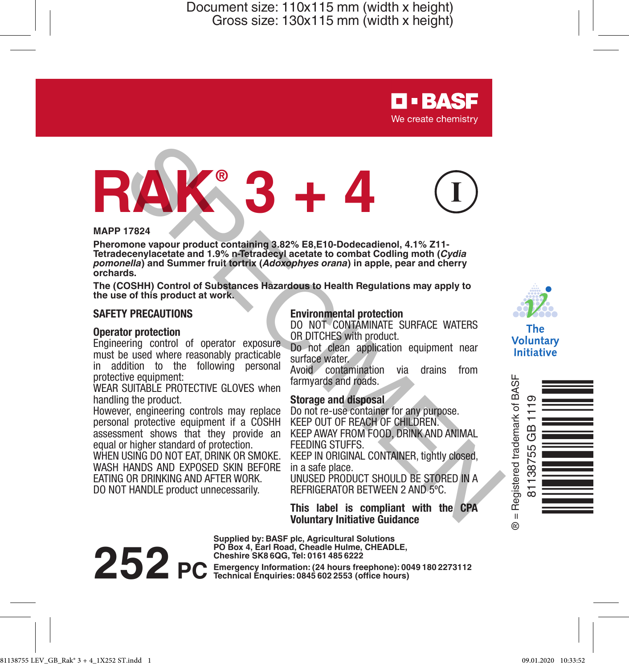

# **RAK® 3 + 4** 17824<br>
17824<br>
The strep of product containing 3.82% E8,E10-Dodecadienol, 4.1% Z11.<br>
memory product containing 3.82% E8,E10-Dodecadienol, 4.1% Z11.<br>
eecenylacetate and 1.9% n-Tetradecyl acetate to combat Codling moth (Cydia

### **MAPP 17824**

**Pheromone vapour product containing 3.82% E8,E10-Dodecadienol, 4.1% Z11- Tetradecenylacetate and 1.9% n-Tetradecyl acetate to combat Codling moth (***Cydia pomonella***) and Summer fruit tortrix (***Adoxophyes orana***) in apple, pear and cherry orchards.**

**The (COSHH) Control of Substances Hazardous to Health Regulations may apply to the use of this product at work.**

### **SAFETY PRECAUTIONS**

### **Operator protection**

Engineering control of operator exposure must be used where reasonably practicable in addition to the following personal protective equipment:

WEAR SUITABLE PROTECTIVE GLOVES when handling the product.

However, engineering controls may replace personal protective equipment if a COSHH assessment shows that they provide an equal or higher standard of protection.

WHEN USING DO NOT EAT, DRINK OR SMOKE. WASH HANDS AND EXPOSED SKIN BEFORE EATING OR DRINKING AND AFTER WORK. DO NOT HANDLE product unnecessarily.

### **Environmental protection**

DO NOT CONTAMINATE SURFACE WATERS OR DITCHES with product.

Do not clean application equipment near surface water.

Avoid contamination via drains from farmyards and roads.

### **Storage and disposal**

Do not re-use container for any purpose. KEEP OUT OF REACH OF CHILDREN. KEEP AWAY FROM FOOD, DRINK AND ANIMAL FEEDING STUFFS.

KEEP IN ORIGINAL CONTAINER, tightly closed, in a safe place.

UNUSED PRODUCT SHOULD BE STORED IN A REFRIGERATOR BETWEEN 2 AND 5ºC.

**This label is compliant with the CPA Voluntary Initiative Guidance**

**Supplied by: BASF plc, Agricultural Solutions PO Box 4, Earl Road, Cheadle Hulme, CHEADLE,** 

**252 PC** Emergency Information: (24 hours freephone): 0049 180 2273112



The **Voluntary** Initiative

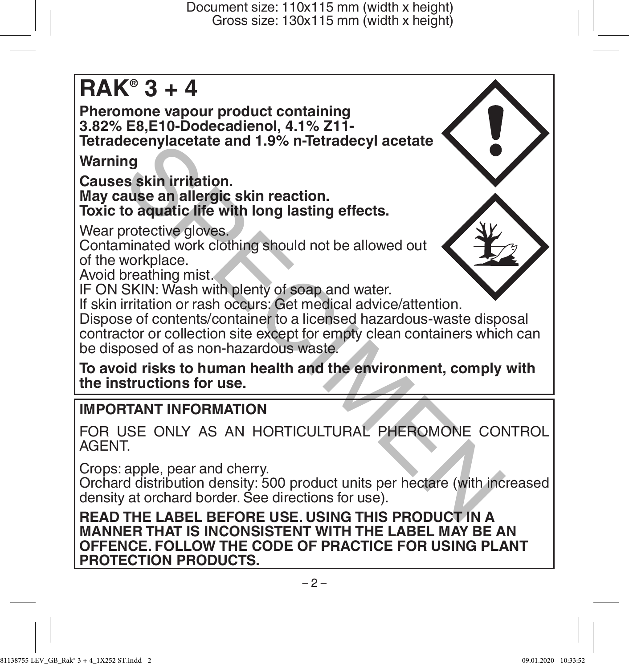# **RAK® 3 + 4**

**Pheromone vapour product containing 3.82% E8,E10-Dodecadienol, 4.1% Z11- Tetradecenylacetate and 1.9% n-Tetradecyl acetate**

**Warning**

**Causes skin irritation. May cause an allergic skin reaction. Toxic to aquatic life with long lasting effects.**

Wear protective gloves.

Contaminated work clothing should not be allowed out of the workplace.

Avoid breathing mist.

IF ON SKIN: Wash with plenty of soap and water.

If skin irritation or rash occurs: Get medical advice/attention.

Dispose of contents/container to a licensed hazardous-waste disposal contractor or collection site except for empty clean containers which can be disposed of as non-hazardous waste. recent and 1.9% n-letradecyl acetate<br>
and the skin irritation.<br>
suse an allergic skin reaction.<br>
to aquatic life with long lasting effects.<br>
Irritation contently a should not be allowed out<br>
suse and alors contents/contain

**To avoid risks to human health and the environment, comply with the instructions for use.**

# **IMPORTANT INFORMATION**

FOR USE ONLY AS AN HORTICULTURAL PHEROMONE CONTROL AGENT.

Crops: apple, pear and cherry.

Orchard distribution density: 500 product units per hectare (with increased density at orchard border. See directions for use).

**READ THE LABEL BEFORE USE. USING THIS PRODUCT IN A MANNER THAT IS INCONSISTENT WITH THE LABEL MAY BE AN OFFENCE. FOLLOW THE CODE OF PRACTICE FOR USING PLANT PROTECTION PRODUCTS.**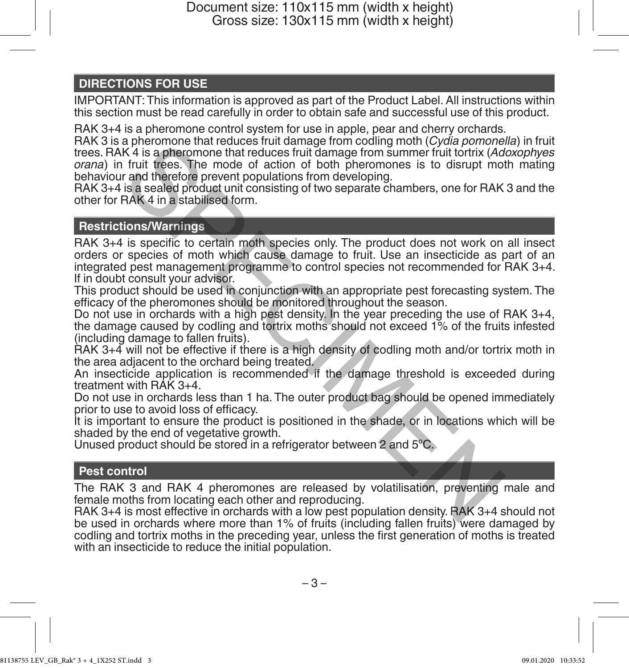# **DIRECTIONS FOR USE**

IMPORTANT: This information is approved as part of the Product Label. All instructions within this section must be read carefully in order to obtain safe and successful use of this product.

RAK 3+4 is a pheromone control system for use in apple, pear and cherry orchards.

RAK 3 is a pheromone that reduces fruit damage from codling moth (*Cydia pomonella*) in fruit trees. RAK 4 is a pheromone that reduces fruit damage from summer fruit tortrix (*Adoxophyes orana*) in fruit trees. The mode of action of both pheromones is to disrupt moth mating behaviour and therefore prevent populations from developing.

RAK 3+4 is a sealed product unit consisting of two separate chambers, one for RAK 3 and the other for RAK 4 in a stabilised form.

### **Restrictions/Warnings**

RAK 3+4 is specific to certain moth species only. The product does not work on all insect orders or species of moth which cause damage to fruit. Use an insecticide as part of an integrated pest management programme to control species not recommended for RAK 3+4. If in doubt consult your advisor. a pheromone that reduces ritur damage from coding morn (*Lydia pomone*)<br>K A is a pheromone that reduces fruit damage from summer fruit tortrix (*Ad*<br>fruit trees. The mode of action of both pheromones is to disrupt mod<br>is a

This product should be used in conjunction with an appropriate pest forecasting system. The efficacy of the pheromones should be monitored throughout the season.

Do not use in orchards with a high pest density. In the year preceding the use of RAK 3+4, the damage caused by codling and tortrix moths should not exceed 1% of the fruits infested (including damage to fallen fruits).

RAK 3+4 will not be effective if there is a high density of codling moth and/or tortrix moth in the area adjacent to the orchard being treated.

An insecticide application is recommended if the damage threshold is exceeded during treatment with RAK 3+4.

Do not use in orchards less than 1 ha. The outer product bag should be opened immediately prior to use to avoid loss of efficacy.

It is important to ensure the product is positioned in the shade, or in locations which will be shaded by the end of vegetative growth.

Unused product should be stored in a refrigerator between 2 and 5ºC.

### **Pest control**

The RAK 3 and RAK 4 pheromones are released by volatilisation, preventing male and female moths from locating each other and reproducing.

RAK 3+4 is most effective in orchards with a low pest population density. RAK 3+4 should not be used in orchards where more than 1% of fruits (including fallen fruits) were damaged by codling and tortrix moths in the preceding year, unless the first generation of moths is treated with an insecticide to reduce the initial population.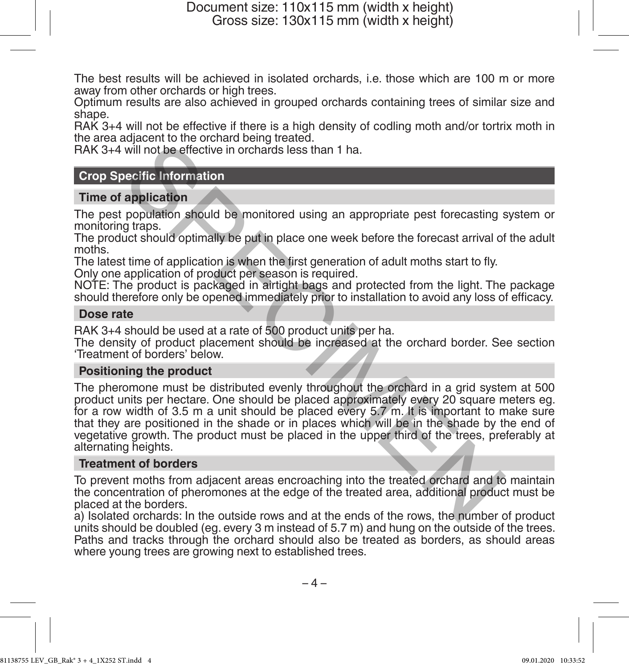The best results will be achieved in isolated orchards, i.e. those which are 100 m or more away from other orchards or high trees.

Optimum results are also achieved in grouped orchards containing trees of similar size and shane

RAK 3+4 will not be effective if there is a high density of codling moth and/or tortrix moth in the area adjacent to the orchard being treated.

RAK 3+4 will not be effective in orchards less than 1 ha.

### **Crop Specific Information**

### **Time of application**

The pest population should be monitored using an appropriate pest forecasting system or monitoring traps.

The product should optimally be put in place one week before the forecast arrival of the adult moths.

The latest time of application is when the first generation of adult moths start to fly.

Only one application of product per season is required.

NOTE: The product is packaged in airtight bags and protected from the light. The package should therefore only be opened immediately prior to installation to avoid any loss of efficacy.

### **Dose rate**

RAK 3+4 should be used at a rate of 500 product units per ha.

The density of product placement should be increased at the orchard border. See section 'Treatment of borders' below.

### **Positioning the product**

The pheromone must be distributed evenly throughout the orchard in a grid system at 500 product units per hectare. One should be placed approximately every 20 square meters eg. for a row width of 3.5 m a unit should be placed every 5.7 m. It is important to make sure that they are positioned in the shade or in places which will be in the shade by the end of vegetative growth. The product must be placed in the upper third of the trees, preferably at alternating heights. will not be effective in orchards less than 1 ha.<br>
will not be effective in orchards less than 1 ha.<br>
exercific Information<br>
application<br>
population should be monitored using an appropriate pest forecasting g<br>
traps.<br>
ture

### **Treatment of borders**

To prevent moths from adjacent areas encroaching into the treated orchard and to maintain the concentration of pheromones at the edge of the treated area, additional product must be placed at the borders.

a) Isolated orchards: In the outside rows and at the ends of the rows, the number of product units should be doubled (eg. every 3 m instead of 5.7 m) and hung on the outside of the trees. Paths and tracks through the orchard should also be treated as borders, as should areas where young trees are growing next to established trees.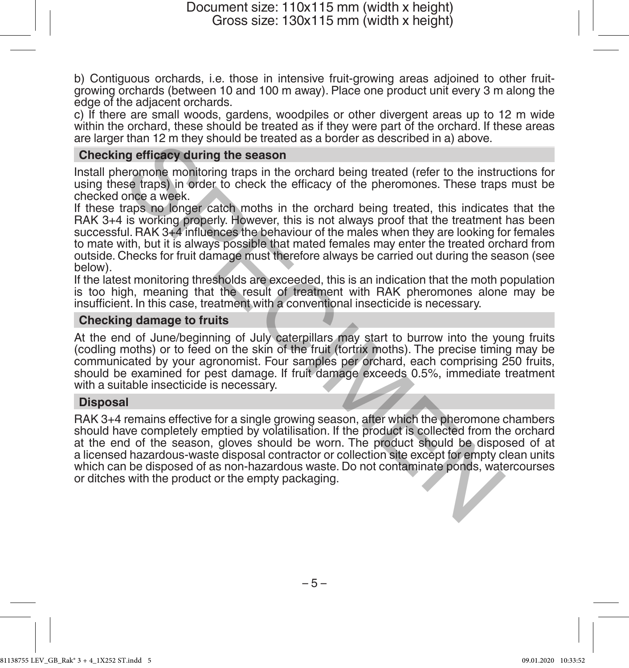b) Contiguous orchards, i.e. those in intensive fruit-growing areas adjoined to other fruitgrowing orchards (between 10 and 100 m away). Place one product unit every 3 m along the edge of the adjacent orchards.

c) If there are small woods, gardens, woodpiles or other divergent areas up to 12 m wide within the orchard, these should be treated as if they were part of the orchard. If these areas are larger than 12 m they should be treated as a border as described in a) above.

### **Checking efficacy during the season**

Install pheromone monitoring traps in the orchard being treated (refer to the instructions for using these traps) in order to check the efficacy of the pheromones. These traps must be checked once a week.

If these traps no longer catch moths in the orchard being treated, this indicates that the RAK 3+4 is working properly. However, this is not always proof that the treatment has been successful. RAK 3+4 influences the behaviour of the males when they are looking for females to mate with, but it is always possible that mated females may enter the treated orchard from outside. Checks for fruit damage must therefore always be carried out during the season (see below). The minitary should be the exact as a bother as described in a power.<br>The respiration proportion and the example of the pheromones. These traps<br>are respirated to check the efficacy of the pheromones. These traps<br>once a wee

If the latest monitoring thresholds are exceeded, this is an indication that the moth population is too high, meaning that the result of treatment with RAK pheromones alone may be insufficient. In this case, treatment with a conventional insecticide is necessary.

### **Checking damage to fruits**

At the end of June/beginning of July caterpillars may start to burrow into the young fruits (codling moths) or to feed on the skin of the fruit (tortrix moths). The precise timing may be communicated by your agronomist. Four samples per orchard, each comprising 250 fruits, should be examined for pest damage. If fruit damage exceeds 0.5%, immediate treatment with a suitable insecticide is necessary.

### **Disposal**

RAK 3+4 remains effective for a single growing season, after which the pheromone chambers should have completely emptied by volatilisation. If the product is collected from the orchard at the end of the season, gloves should be worn. The product should be disposed of at a licensed hazardous-waste disposal contractor or collection site except for empty clean units which can be disposed of as non-hazardous waste. Do not contaminate ponds, watercourses or ditches with the product or the empty packaging.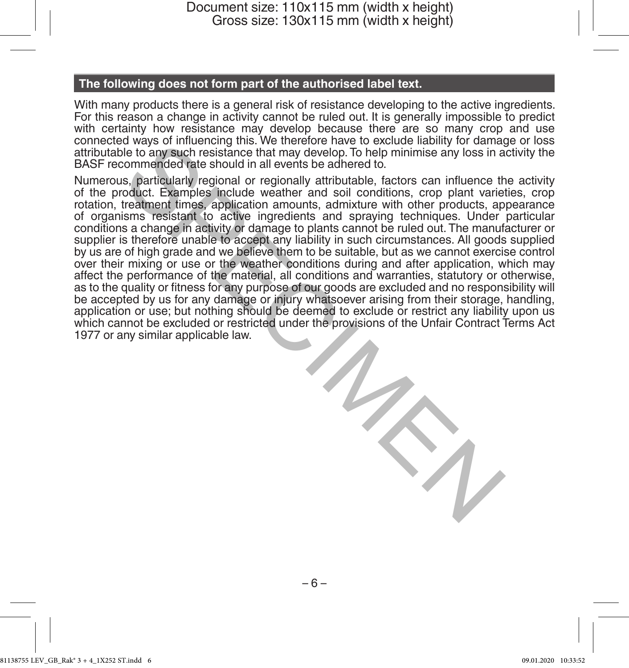## **The following does not form part of the authorised label text.**

With many products there is a general risk of resistance developing to the active ingredients. For this reason a change in activity cannot be ruled out. It is generally impossible to predict with certainty how resistance may develop because there are so many crop and use connected ways of influencing this. We therefore have to exclude liability for damage or loss attributable to any such resistance that may develop. To help minimise any loss in activity the BASF recommended rate should in all events be adhered to.

Numerous, particularly regional or regionally attributable, factors can influence the activity of the product. Examples include weather and soil conditions, crop plant varieties, crop rotation, treatment times, application amounts, admixture with other products, appearance of organisms resistant to active ingredients and spraying techniques. Under particular conditions a change in activity or damage to plants cannot be ruled out. The manufacturer or supplier is therefore unable to accept any liability in such circumstances. All goods supplied by us are of high grade and we believe them to be suitable, but as we cannot exercise control over their mixing or use or the weather conditions during and after application, which may affect the performance of the material, all conditions and warranties, statutory or otherwise, as to the quality or fitness for any purpose of our goods are excluded and no responsibility will be accepted by us for any damage or injury whatsoever arising from their storage, handling, application or use; but nothing should be deemed to exclude or restrict any liability upon us which cannot be excluded or restricted under the provisions of the Unfair Contract Terms Act 1977 or any similar applicable law. a way of influencing ints. we therefore have to exclude late to any stoches that may develop. To help minimise any loss in a commended rate should in all events be adhered to.<br>See be to any such resistance that may develop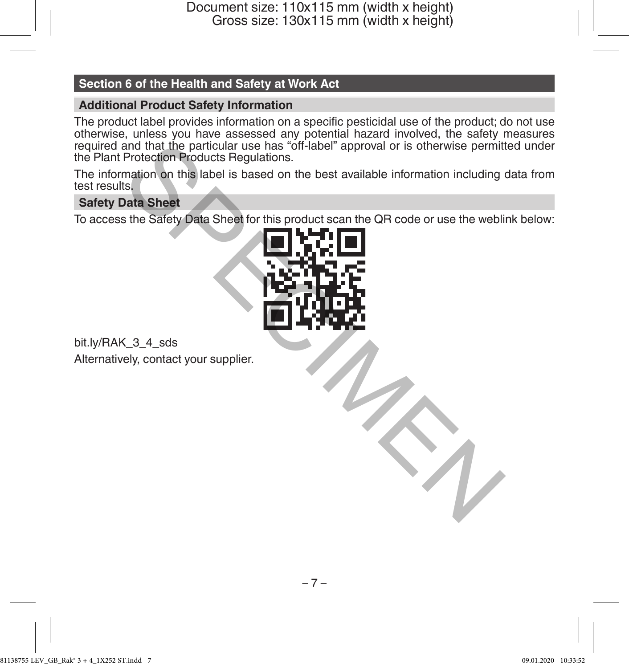# **Section 6 of the Health and Safety at Work Act**

# **Additional Product Safety Information**

The product label provides information on a specific pesticidal use of the product; do not use otherwise, unless you have assessed any potential hazard involved, the safety measures required and that the particular use has "off-label" approval or is otherwise permitted under the Plant Protection Products Regulations.

The information on this label is based on the best available information including data from test results.

# **Safety Data Sheet**

To access the Safety Data Sheet for this product scan the QR code or use the weblink below:



bit.ly/RAK\_3\_4\_sds Alternatively, contact your supplier.